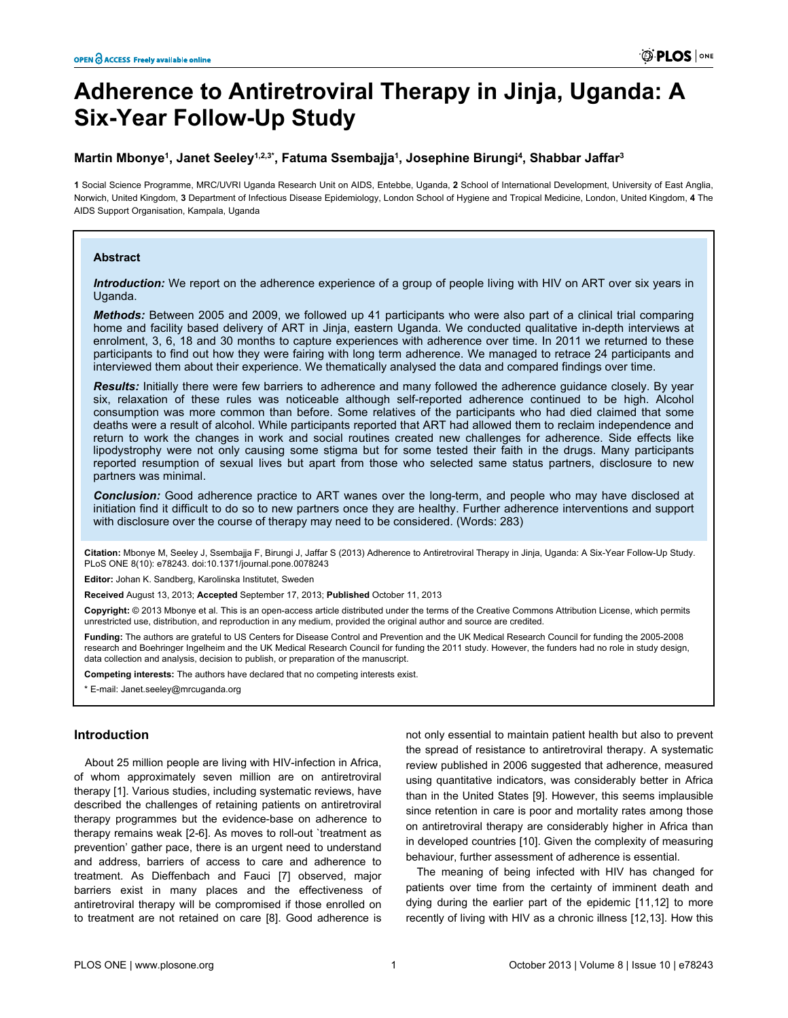# **Adherence to Antiretroviral Therapy in Jinja, Uganda: A Six-Year Follow-Up Study**

# **Martin Mbonye<sup>1</sup> , Janet Seeley1,2,3\*, Fatuma Ssembajja<sup>1</sup> , Josephine Birungi<sup>4</sup> , Shabbar Jaffar<sup>3</sup>**

**1** Social Science Programme, MRC/UVRI Uganda Research Unit on AIDS, Entebbe, Uganda, **2** School of International Development, University of East Anglia, Norwich, United Kingdom, **3** Department of Infectious Disease Epidemiology, London School of Hygiene and Tropical Medicine, London, United Kingdom, **4** The AIDS Support Organisation, Kampala, Uganda

# **Abstract**

*Introduction:* We report on the adherence experience of a group of people living with HIV on ART over six years in Uganda.

*Methods:* Between 2005 and 2009, we followed up 41 participants who were also part of a clinical trial comparing home and facility based delivery of ART in Jinja, eastern Uganda. We conducted qualitative in-depth interviews at enrolment, 3, 6, 18 and 30 months to capture experiences with adherence over time. In 2011 we returned to these participants to find out how they were fairing with long term adherence. We managed to retrace 24 participants and interviewed them about their experience. We thematically analysed the data and compared findings over time.

*Results:* Initially there were few barriers to adherence and many followed the adherence guidance closely. By year six, relaxation of these rules was noticeable although self-reported adherence continued to be high. Alcohol consumption was more common than before. Some relatives of the participants who had died claimed that some deaths were a result of alcohol. While participants reported that ART had allowed them to reclaim independence and return to work the changes in work and social routines created new challenges for adherence. Side effects like lipodystrophy were not only causing some stigma but for some tested their faith in the drugs. Many participants reported resumption of sexual lives but apart from those who selected same status partners, disclosure to new partners was minimal.

*Conclusion:* Good adherence practice to ART wanes over the long-term, and people who may have disclosed at initiation find it difficult to do so to new partners once they are healthy. Further adherence interventions and support with disclosure over the course of therapy may need to be considered. (Words: 283)

**Citation:** Mbonye M, Seeley J, Ssembajja F, Birungi J, Jaffar S (2013) Adherence to Antiretroviral Therapy in Jinja, Uganda: A Six-Year Follow-Up Study. PLoS ONE 8(10): e78243. doi:10.1371/journal.pone.0078243

**Editor:** Johan K. Sandberg, Karolinska Institutet, Sweden

**Received** August 13, 2013; **Accepted** September 17, 2013; **Published** October 11, 2013

**Copyright:** © 2013 Mbonye et al. This is an open-access article distributed under the terms of the Creative Commons Attribution License, which permits unrestricted use, distribution, and reproduction in any medium, provided the original author and source are credited.

**Funding:** The authors are grateful to US Centers for Disease Control and Prevention and the UK Medical Research Council for funding the 2005-2008 research and Boehringer Ingelheim and the UK Medical Research Council for funding the 2011 study. However, the funders had no role in study design, data collection and analysis, decision to publish, or preparation of the manuscript.

**Competing interests:** The authors have declared that no competing interests exist.

\* E-mail: Janet.seeley@mrcuganda.org

# **Introduction**

About 25 million people are living with HIV-infection in Africa, of whom approximately seven million are on antiretroviral therapy [[1\]](#page-4-0). Various studies, including systematic reviews, have described the challenges of retaining patients on antiretroviral therapy programmes but the evidence-base on adherence to therapy remains weak [[2-6](#page-4-0)]. As moves to roll-out `treatment as prevention' gather pace, there is an urgent need to understand and address, barriers of access to care and adherence to treatment. As Dieffenbach and Fauci [[7](#page-4-0)] observed, major barriers exist in many places and the effectiveness of antiretroviral therapy will be compromised if those enrolled on to treatment are not retained on care [\[8\]](#page-4-0). Good adherence is

not only essential to maintain patient health but also to prevent the spread of resistance to antiretroviral therapy. A systematic review published in 2006 suggested that adherence, measured using quantitative indicators, was considerably better in Africa than in the United States [\[9](#page-4-0)]. However, this seems implausible since retention in care is poor and mortality rates among those on antiretroviral therapy are considerably higher in Africa than in developed countries [\[10\]](#page-4-0). Given the complexity of measuring behaviour, further assessment of adherence is essential.

The meaning of being infected with HIV has changed for patients over time from the certainty of imminent death and dying during the earlier part of the epidemic [\[11,12\]](#page-4-0) to more recently of living with HIV as a chronic illness [[12](#page-4-0),[13\]](#page-5-0). How this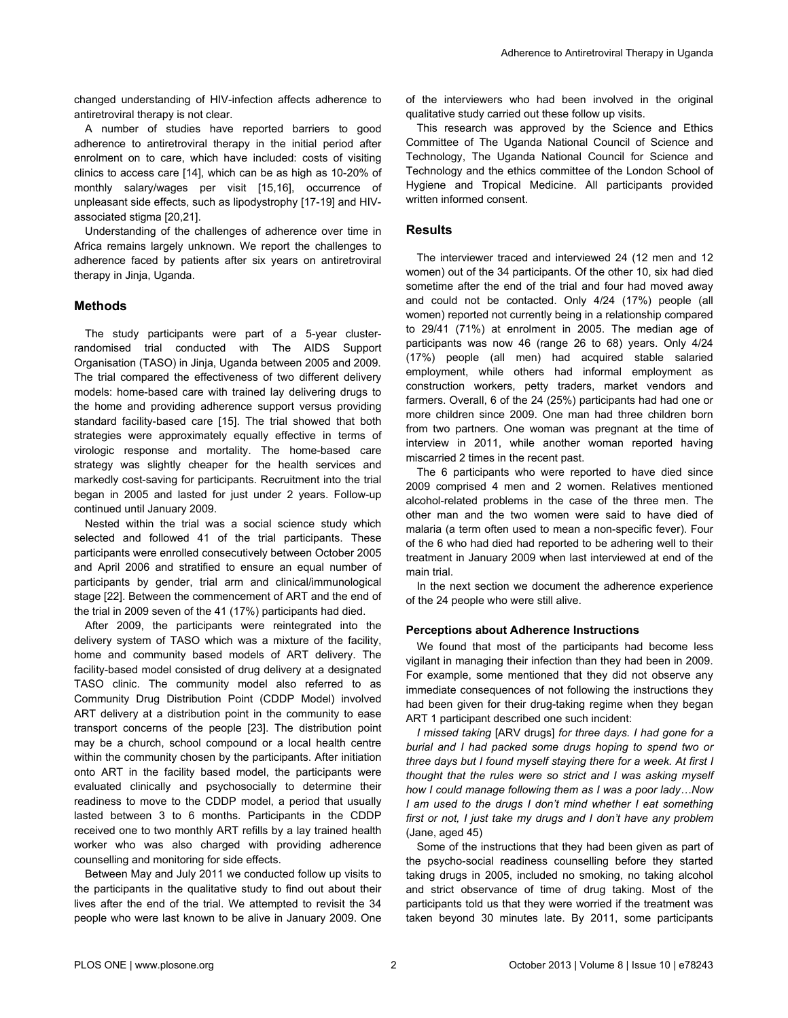changed understanding of HIV-infection affects adherence to antiretroviral therapy is not clear.

A number of studies have reported barriers to good adherence to antiretroviral therapy in the initial period after enrolment on to care, which have included: costs of visiting clinics to access care [\[14\]](#page-5-0), which can be as high as 10-20% of monthly salary/wages per visit [[15](#page-5-0),[16](#page-5-0)], occurrence of unpleasant side effects, such as lipodystrophy [\[17-19](#page-5-0)] and HIVassociated stigma [\[20,21\]](#page-5-0).

Understanding of the challenges of adherence over time in Africa remains largely unknown. We report the challenges to adherence faced by patients after six years on antiretroviral therapy in Jinja, Uganda.

# **Methods**

The study participants were part of a 5-year clusterrandomised trial conducted with The AIDS Support Organisation (TASO) in Jinja, Uganda between 2005 and 2009. The trial compared the effectiveness of two different delivery models: home-based care with trained lay delivering drugs to the home and providing adherence support versus providing standard facility-based care [\[15\]](#page-5-0). The trial showed that both strategies were approximately equally effective in terms of virologic response and mortality. The home-based care strategy was slightly cheaper for the health services and markedly cost-saving for participants. Recruitment into the trial began in 2005 and lasted for just under 2 years. Follow-up continued until January 2009.

Nested within the trial was a social science study which selected and followed 41 of the trial participants. These participants were enrolled consecutively between October 2005 and April 2006 and stratified to ensure an equal number of participants by gender, trial arm and clinical/immunological stage [\[22\]](#page-5-0). Between the commencement of ART and the end of the trial in 2009 seven of the 41 (17%) participants had died.

After 2009, the participants were reintegrated into the delivery system of TASO which was a mixture of the facility, home and community based models of ART delivery. The facility-based model consisted of drug delivery at a designated TASO clinic. The community model also referred to as Community Drug Distribution Point (CDDP Model) involved ART delivery at a distribution point in the community to ease transport concerns of the people [[23](#page-5-0)]. The distribution point may be a church, school compound or a local health centre within the community chosen by the participants. After initiation onto ART in the facility based model, the participants were evaluated clinically and psychosocially to determine their readiness to move to the CDDP model, a period that usually lasted between 3 to 6 months. Participants in the CDDP received one to two monthly ART refills by a lay trained health worker who was also charged with providing adherence counselling and monitoring for side effects.

Between May and July 2011 we conducted follow up visits to the participants in the qualitative study to find out about their lives after the end of the trial. We attempted to revisit the 34 people who were last known to be alive in January 2009. One

of the interviewers who had been involved in the original qualitative study carried out these follow up visits.

This research was approved by the Science and Ethics Committee of The Uganda National Council of Science and Technology, The Uganda National Council for Science and Technology and the ethics committee of the London School of Hygiene and Tropical Medicine. All participants provided written informed consent.

# **Results**

The interviewer traced and interviewed 24 (12 men and 12 women) out of the 34 participants. Of the other 10, six had died sometime after the end of the trial and four had moved away and could not be contacted. Only 4/24 (17%) people (all women) reported not currently being in a relationship compared to 29/41 (71%) at enrolment in 2005. The median age of participants was now 46 (range 26 to 68) years. Only 4/24 (17%) people (all men) had acquired stable salaried employment, while others had informal employment as construction workers, petty traders, market vendors and farmers. Overall, 6 of the 24 (25%) participants had had one or more children since 2009. One man had three children born from two partners. One woman was pregnant at the time of interview in 2011, while another woman reported having miscarried 2 times in the recent past.

The 6 participants who were reported to have died since 2009 comprised 4 men and 2 women. Relatives mentioned alcohol-related problems in the case of the three men. The other man and the two women were said to have died of malaria (a term often used to mean a non-specific fever). Four of the 6 who had died had reported to be adhering well to their treatment in January 2009 when last interviewed at end of the main trial.

In the next section we document the adherence experience of the 24 people who were still alive.

# **Perceptions about Adherence Instructions**

We found that most of the participants had become less vigilant in managing their infection than they had been in 2009. For example, some mentioned that they did not observe any immediate consequences of not following the instructions they had been given for their drug-taking regime when they began ART 1 participant described one such incident:

*I missed taking* [ARV drugs] *for three days. I had gone for a burial and I had packed some drugs hoping to spend two or three days but I found myself staying there for a week. At first I thought that the rules were so strict and I was asking myself how I could manage following them as I was a poor lady…Now I am used to the drugs I don't mind whether I eat something first or not, I just take my drugs and I don't have any problem* (Jane, aged 45)

Some of the instructions that they had been given as part of the psycho-social readiness counselling before they started taking drugs in 2005, included no smoking, no taking alcohol and strict observance of time of drug taking. Most of the participants told us that they were worried if the treatment was taken beyond 30 minutes late. By 2011, some participants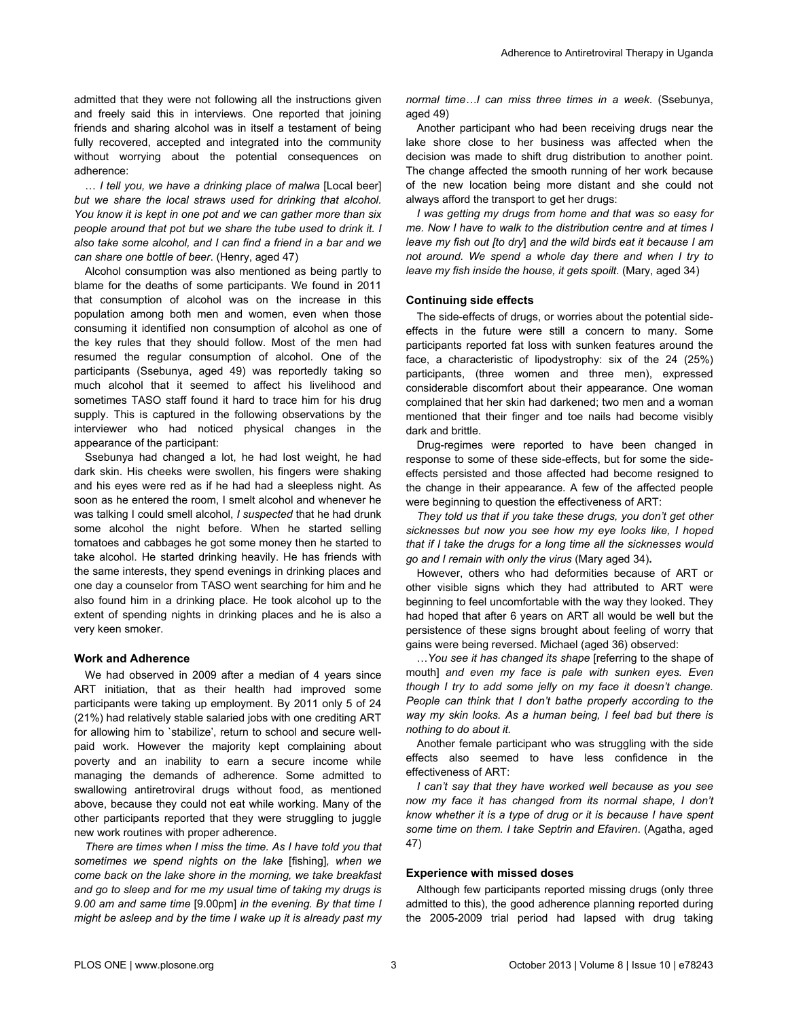admitted that they were not following all the instructions given and freely said this in interviews. One reported that joining friends and sharing alcohol was in itself a testament of being fully recovered, accepted and integrated into the community without worrying about the potential consequences on adherence:

… *I tell you, we have a drinking place of malwa* [Local beer] *but we share the local straws used for drinking that alcohol. You know it is kept in one pot and we can gather more than six people around that pot but we share the tube used to drink it. I also take some alcohol, and I can find a friend in a bar and we can share one bottle of beer*. (Henry, aged 47)

Alcohol consumption was also mentioned as being partly to blame for the deaths of some participants. We found in 2011 that consumption of alcohol was on the increase in this population among both men and women, even when those consuming it identified non consumption of alcohol as one of the key rules that they should follow. Most of the men had resumed the regular consumption of alcohol. One of the participants (Ssebunya, aged 49) was reportedly taking so much alcohol that it seemed to affect his livelihood and sometimes TASO staff found it hard to trace him for his drug supply. This is captured in the following observations by the interviewer who had noticed physical changes in the appearance of the participant:

Ssebunya had changed a lot, he had lost weight, he had dark skin. His cheeks were swollen, his fingers were shaking and his eyes were red as if he had had a sleepless night. As soon as he entered the room, I smelt alcohol and whenever he was talking I could smell alcohol, *I suspected* that he had drunk some alcohol the night before. When he started selling tomatoes and cabbages he got some money then he started to take alcohol. He started drinking heavily. He has friends with the same interests, they spend evenings in drinking places and one day a counselor from TASO went searching for him and he also found him in a drinking place. He took alcohol up to the extent of spending nights in drinking places and he is also a very keen smoker.

#### **Work and Adherence**

We had observed in 2009 after a median of 4 years since ART initiation, that as their health had improved some participants were taking up employment. By 2011 only 5 of 24 (21%) had relatively stable salaried jobs with one crediting ART for allowing him to `stabilize', return to school and secure wellpaid work. However the majority kept complaining about poverty and an inability to earn a secure income while managing the demands of adherence. Some admitted to swallowing antiretroviral drugs without food, as mentioned above, because they could not eat while working. Many of the other participants reported that they were struggling to juggle new work routines with proper adherence.

*There are times when I miss the time. As I have told you that sometimes we spend nights on the lake* [fishing]*, when we come back on the lake shore in the morning, we take breakfast and go to sleep and for me my usual time of taking my drugs is 9.00 am and same time* [9.00pm] *in the evening. By that time I might be asleep and by the time I wake up it is already past my*

*normal time…I can miss three times in a week*. (Ssebunya, aged 49)

Another participant who had been receiving drugs near the lake shore close to her business was affected when the decision was made to shift drug distribution to another point. The change affected the smooth running of her work because of the new location being more distant and she could not always afford the transport to get her drugs:

*I was getting my drugs from home and that was so easy for me. Now I have to walk to the distribution centre and at times I leave my fish out [to dry*] *and the wild birds eat it because I am not around. We spend a whole day there and when I try to leave my fish inside the house, it gets spoilt*. (Mary, aged 34)

#### **Continuing side effects**

The side-effects of drugs, or worries about the potential sideeffects in the future were still a concern to many. Some participants reported fat loss with sunken features around the face, a characteristic of lipodystrophy: six of the 24 (25%) participants, (three women and three men), expressed considerable discomfort about their appearance. One woman complained that her skin had darkened; two men and a woman mentioned that their finger and toe nails had become visibly dark and brittle.

Drug-regimes were reported to have been changed in response to some of these side-effects, but for some the sideeffects persisted and those affected had become resigned to the change in their appearance. A few of the affected people were beginning to question the effectiveness of ART:

*They told us that if you take these drugs, you don't get other sicknesses but now you see how my eye looks like, I hoped that if I take the drugs for a long time all the sicknesses would go and I remain with only the virus* (Mary aged 34)**.**

However, others who had deformities because of ART or other visible signs which they had attributed to ART were beginning to feel uncomfortable with the way they looked. They had hoped that after 6 years on ART all would be well but the persistence of these signs brought about feeling of worry that gains were being reversed. Michael (aged 36) observed:

…*You see it has changed its shape* [referring to the shape of mouth] *and even my face is pale with sunken eyes. Even though I try to add some jelly on my face it doesn't change. People can think that I don't bathe properly according to the way my skin looks. As a human being, I feel bad but there is nothing to do about it.*

Another female participant who was struggling with the side effects also seemed to have less confidence in the effectiveness of ART:

*I can't say that they have worked well because as you see now my face it has changed from its normal shape, I don't know whether it is a type of drug or it is because I have spent some time on them. I take Septrin and Efaviren*. (Agatha, aged 47)

#### **Experience with missed doses**

Although few participants reported missing drugs (only three admitted to this), the good adherence planning reported during the 2005-2009 trial period had lapsed with drug taking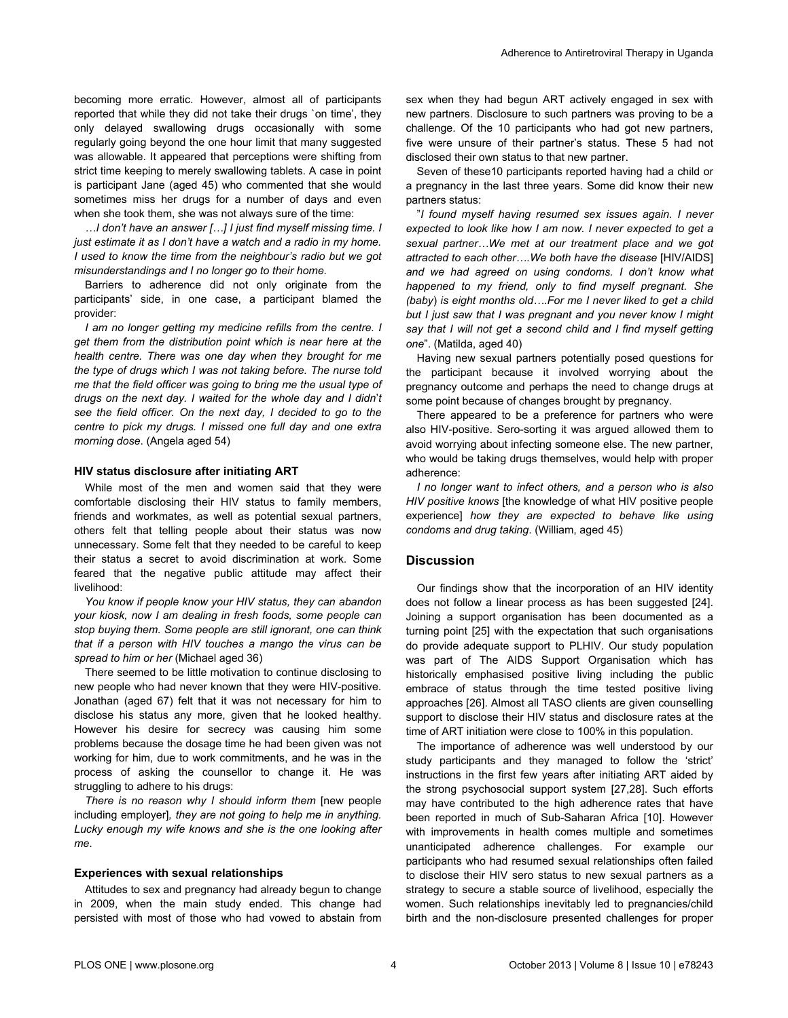becoming more erratic. However, almost all of participants reported that while they did not take their drugs `on time', they only delayed swallowing drugs occasionally with some regularly going beyond the one hour limit that many suggested was allowable. It appeared that perceptions were shifting from strict time keeping to merely swallowing tablets. A case in point is participant Jane (aged 45) who commented that she would sometimes miss her drugs for a number of days and even when she took them, she was not always sure of the time:

*…I don't have an answer […] I just find myself missing time. I just estimate it as I don't have a watch and a radio in my home. I used to know the time from the neighbour's radio but we got misunderstandings and I no longer go to their home.*

Barriers to adherence did not only originate from the participants' side, in one case, a participant blamed the provider:

*I am no longer getting my medicine refills from the centre. I get them from the distribution point which is near here at the health centre. There was one day when they brought for me the type of drugs which I was not taking before. The nurse told me that the field officer was going to bring me the usual type of drugs on the next day. I waited for the whole day and I didn*'*t see the field officer. On the next day, I decided to go to the centre to pick my drugs. I missed one full day and one extra morning dose*. (Angela aged 54)

## **HIV status disclosure after initiating ART**

While most of the men and women said that they were comfortable disclosing their HIV status to family members, friends and workmates, as well as potential sexual partners, others felt that telling people about their status was now unnecessary. Some felt that they needed to be careful to keep their status a secret to avoid discrimination at work. Some feared that the negative public attitude may affect their livelihood:

*You know if people know your HIV status, they can abandon your kiosk, now I am dealing in fresh foods, some people can stop buying them. Some people are still ignorant, one can think that if a person with HIV touches a mango the virus can be spread to him or her* (Michael aged 36)

There seemed to be little motivation to continue disclosing to new people who had never known that they were HIV-positive. Jonathan (aged 67) felt that it was not necessary for him to disclose his status any more, given that he looked healthy. However his desire for secrecy was causing him some problems because the dosage time he had been given was not working for him, due to work commitments, and he was in the process of asking the counsellor to change it. He was struggling to adhere to his drugs:

*There is no reason why I should inform them* [new people including employer]*, they are not going to help me in anything. Lucky enough my wife knows and she is the one looking after me*.

#### **Experiences with sexual relationships**

Attitudes to sex and pregnancy had already begun to change in 2009, when the main study ended. This change had persisted with most of those who had vowed to abstain from

sex when they had begun ART actively engaged in sex with new partners. Disclosure to such partners was proving to be a challenge. Of the 10 participants who had got new partners, five were unsure of their partner's status. These 5 had not disclosed their own status to that new partner.

Seven of these10 participants reported having had a child or a pregnancy in the last three years. Some did know their new partners status:

"*I found myself having resumed sex issues again. I never expected to look like how I am now. I never expected to get a sexual partner…We met at our treatment place and we got attracted to each other….We both have the disease* [HIV/AIDS] *and we had agreed on using condoms. I don't know what happened to my friend, only to find myself pregnant. She (baby*) *is eight months old….For me I never liked to get a child but I just saw that I was pregnant and you never know I might say that I will not get a second child and I find myself getting one*". (Matilda, aged 40)

Having new sexual partners potentially posed questions for the participant because it involved worrying about the pregnancy outcome and perhaps the need to change drugs at some point because of changes brought by pregnancy.

There appeared to be a preference for partners who were also HIV-positive. Sero-sorting it was argued allowed them to avoid worrying about infecting someone else. The new partner, who would be taking drugs themselves, would help with proper adherence:

*I no longer want to infect others, and a person who is also HIV positive knows* [the knowledge of what HIV positive people experience] *how they are expected to behave like using condoms and drug taking*. (William, aged 45)

## **Discussion**

Our findings show that the incorporation of an HIV identity does not follow a linear process as has been suggested [\[24\]](#page-5-0). Joining a support organisation has been documented as a turning point [\[25\]](#page-5-0) with the expectation that such organisations do provide adequate support to PLHIV. Our study population was part of The AIDS Support Organisation which has historically emphasised positive living including the public embrace of status through the time tested positive living approaches [[26](#page-5-0)]. Almost all TASO clients are given counselling support to disclose their HIV status and disclosure rates at the time of ART initiation were close to 100% in this population.

The importance of adherence was well understood by our study participants and they managed to follow the 'strict' instructions in the first few years after initiating ART aided by the strong psychosocial support system [\[27,28\]](#page-5-0). Such efforts may have contributed to the high adherence rates that have been reported in much of Sub-Saharan Africa [[10](#page-4-0)]. However with improvements in health comes multiple and sometimes unanticipated adherence challenges. For example our participants who had resumed sexual relationships often failed to disclose their HIV sero status to new sexual partners as a strategy to secure a stable source of livelihood, especially the women. Such relationships inevitably led to pregnancies/child birth and the non-disclosure presented challenges for proper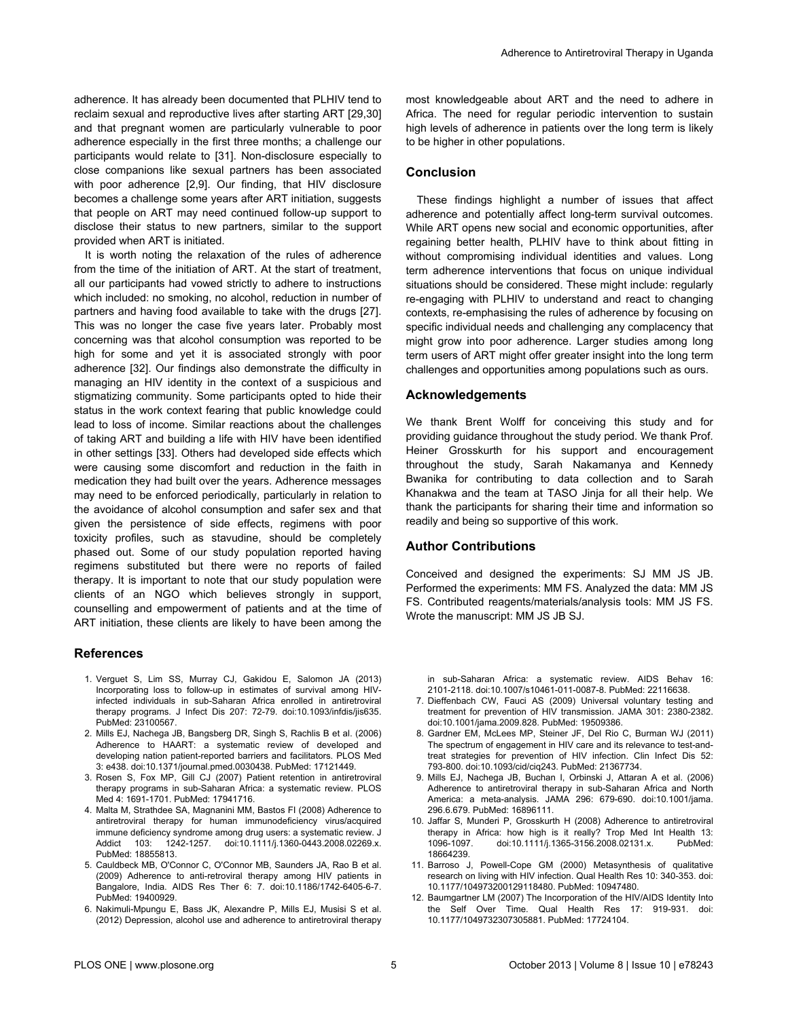<span id="page-4-0"></span>adherence. It has already been documented that PLHIV tend to reclaim sexual and reproductive lives after starting ART [[29](#page-5-0),[30](#page-5-0)] and that pregnant women are particularly vulnerable to poor adherence especially in the first three months; a challenge our participants would relate to [[31](#page-5-0)]. Non-disclosure especially to close companions like sexual partners has been associated with poor adherence [2,9]. Our finding, that HIV disclosure becomes a challenge some years after ART initiation, suggests that people on ART may need continued follow-up support to disclose their status to new partners, similar to the support provided when ART is initiated.

It is worth noting the relaxation of the rules of adherence from the time of the initiation of ART. At the start of treatment, all our participants had vowed strictly to adhere to instructions which included: no smoking, no alcohol, reduction in number of partners and having food available to take with the drugs [\[27\]](#page-5-0). This was no longer the case five years later. Probably most concerning was that alcohol consumption was reported to be high for some and yet it is associated strongly with poor adherence [\[32\]](#page-5-0). Our findings also demonstrate the difficulty in managing an HIV identity in the context of a suspicious and stigmatizing community. Some participants opted to hide their status in the work context fearing that public knowledge could lead to loss of income. Similar reactions about the challenges of taking ART and building a life with HIV have been identified in other settings [[33](#page-5-0)]. Others had developed side effects which were causing some discomfort and reduction in the faith in medication they had built over the years. Adherence messages may need to be enforced periodically, particularly in relation to the avoidance of alcohol consumption and safer sex and that given the persistence of side effects, regimens with poor toxicity profiles, such as stavudine, should be completely phased out. Some of our study population reported having regimens substituted but there were no reports of failed therapy. It is important to note that our study population were clients of an NGO which believes strongly in support, counselling and empowerment of patients and at the time of ART initiation, these clients are likely to have been among the

# **References**

- 1. Verguet S, Lim SS, Murray CJ, Gakidou E, Salomon JA (2013) Incorporating loss to follow-up in estimates of survival among HIVinfected individuals in sub-Saharan Africa enrolled in antiretroviral therapy programs. J Infect Dis 207: 72-79. doi:[10.1093/infdis/jis635.](http://dx.doi.org/10.1093/infdis/jis635) PubMed: [23100567.](http://www.ncbi.nlm.nih.gov/pubmed/23100567)
- 2. Mills EJ, Nachega JB, Bangsberg DR, Singh S, Rachlis B et al. (2006) Adherence to HAART: a systematic review of developed and developing nation patient-reported barriers and facilitators. PLOS Med 3: e438. doi[:10.1371/journal.pmed.0030438](http://dx.doi.org/10.1371/journal.pmed.0030438). PubMed: [17121449](http://www.ncbi.nlm.nih.gov/pubmed/17121449).
- 3. Rosen S, Fox MP, Gill CJ (2007) Patient retention in antiretroviral therapy programs in sub-Saharan Africa: a systematic review. PLOS Med 4: 1691-1701. PubMed: [17941716](http://www.ncbi.nlm.nih.gov/pubmed/17941716).
- 4. Malta M, Strathdee SA, Magnanini MM, Bastos FI (2008) Adherence to antiretroviral therapy for human immunodeficiency virus/acquired immune deficiency syndrome among drug users: a systematic review. J Addict 103: 1242-1257. doi:[10.1111/j.1360-0443.2008.02269.x.](http://dx.doi.org/10.1111/j.1360-0443.2008.02269.x) PubMed: [18855813.](http://www.ncbi.nlm.nih.gov/pubmed/18855813)
- 5. Cauldbeck MB, O'Connor C, O'Connor MB, Saunders JA, Rao B et al. (2009) Adherence to anti-retroviral therapy among HIV patients in Bangalore, India. AIDS Res Ther 6: 7. doi[:10.1186/1742-6405-6-7.](http://dx.doi.org/10.1186/1742-6405-6-7) PubMed: [19400929.](http://www.ncbi.nlm.nih.gov/pubmed/19400929)
- 6. Nakimuli-Mpungu E, Bass JK, Alexandre P, Mills EJ, Musisi S et al. (2012) Depression, alcohol use and adherence to antiretroviral therapy

most knowledgeable about ART and the need to adhere in Africa. The need for regular periodic intervention to sustain high levels of adherence in patients over the long term is likely to be higher in other populations.

# **Conclusion**

These findings highlight a number of issues that affect adherence and potentially affect long-term survival outcomes. While ART opens new social and economic opportunities, after regaining better health, PLHIV have to think about fitting in without compromising individual identities and values. Long term adherence interventions that focus on unique individual situations should be considered. These might include: regularly re-engaging with PLHIV to understand and react to changing contexts, re-emphasising the rules of adherence by focusing on specific individual needs and challenging any complacency that might grow into poor adherence. Larger studies among long term users of ART might offer greater insight into the long term challenges and opportunities among populations such as ours.

# **Acknowledgements**

We thank Brent Wolff for conceiving this study and for providing guidance throughout the study period. We thank Prof. Heiner Grosskurth for his support and encouragement throughout the study, Sarah Nakamanya and Kennedy Bwanika for contributing to data collection and to Sarah Khanakwa and the team at TASO Jinja for all their help. We thank the participants for sharing their time and information so readily and being so supportive of this work.

# **Author Contributions**

Conceived and designed the experiments: SJ MM JS JB. Performed the experiments: MM FS. Analyzed the data: MM JS FS. Contributed reagents/materials/analysis tools: MM JS FS. Wrote the manuscript: MM JS JB SJ.

in sub-Saharan Africa: a systematic review. AIDS Behav 16: 2101-2118. doi[:10.1007/s10461-011-0087-8.](http://dx.doi.org/10.1007/s10461-011-0087-8) PubMed: [22116638](http://www.ncbi.nlm.nih.gov/pubmed/22116638).

- 7. Dieffenbach CW, Fauci AS (2009) Universal voluntary testing and treatment for prevention of HIV transmission. JAMA 301: 2380-2382. doi:[10.1001/jama.2009.828](http://dx.doi.org/10.1001/jama.2009.828). PubMed: [19509386](http://www.ncbi.nlm.nih.gov/pubmed/19509386).
- 8. Gardner EM, McLees MP, Steiner JF, Del Rio C, Burman WJ (2011) The spectrum of engagement in HIV care and its relevance to test-andtreat strategies for prevention of HIV infection. Clin Infect Dis 52: 793-800. doi[:10.1093/cid/ciq243](http://dx.doi.org/10.1093/cid/ciq243). PubMed: [21367734](http://www.ncbi.nlm.nih.gov/pubmed/21367734).
- 9. Mills EJ, Nachega JB, Buchan I, Orbinski J, Attaran A et al. (2006) Adherence to antiretroviral therapy in sub-Saharan Africa and North America: a meta-analysis. JAMA 296: 679-690. doi[:10.1001/jama.](http://dx.doi.org/10.1001/jama.296.6.679) [296.6.679.](http://dx.doi.org/10.1001/jama.296.6.679) PubMed: [16896111.](http://www.ncbi.nlm.nih.gov/pubmed/16896111)
- 10. Jaffar S, Munderi P, Grosskurth H (2008) Adherence to antiretroviral therapy in Africa: how high is it really? Trop Med Int Health 13: 1096-1097. doi:[10.1111/j.1365-3156.2008.02131.x](http://dx.doi.org/10.1111/j.1365-3156.2008.02131.x). PubMed: [18664239.](http://www.ncbi.nlm.nih.gov/pubmed/18664239)
- 11. Barroso J, Powell-Cope GM (2000) Metasynthesis of qualitative research on living with HIV infection. Qual Health Res 10: 340-353. doi: [10.1177/104973200129118480.](http://dx.doi.org/10.1177/104973200129118480) PubMed: [10947480.](http://www.ncbi.nlm.nih.gov/pubmed/10947480)
- 12. Baumgartner LM (2007) The Incorporation of the HIV/AIDS Identity Into the Self Over Time. Qual Health Res 17: 919-931. doi: [10.1177/1049732307305881](http://dx.doi.org/10.1177/1049732307305881). PubMed: [17724104](http://www.ncbi.nlm.nih.gov/pubmed/17724104).